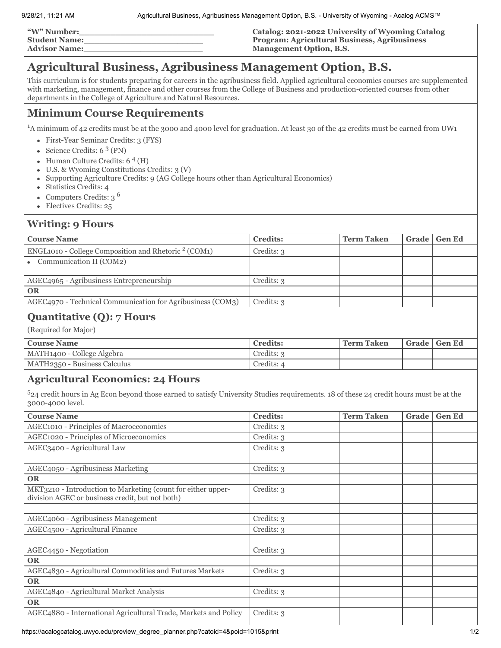| "W" Number:          | Catalog: 2021-2022 University of Wyoming Catalog    |
|----------------------|-----------------------------------------------------|
| <b>Student Name:</b> | <b>Program: Agricultural Business, Agribusiness</b> |
| <b>Advisor Name:</b> | <b>Management Option, B.S.</b>                      |

# **Agricultural Business, Agribusiness Management Option, B.S.**

This curriculum is for students preparing for careers in the agribusiness field. Applied agricultural economics courses are supplemented with marketing, management, finance and other courses from the College of Business and production-oriented courses from other departments in the College of Agriculture and Natural Resources.

# **Minimum Course Requirements**

<sup>1</sup>A minimum of 42 credits must be at the 3000 and 4000 level for graduation. At least 30 of the 42 credits must be earned from UW1

- First-Year Seminar Credits: 3 (FYS)
- Science Credits: 6<sup>3</sup> (PN)
- Human Culture Credits: 6<sup>4</sup> (H)
- U.S. & Wyoming Constitutions Credits: 3 (V)
- Supporting Agriculture Credits: 9 (AG College hours other than Agricultural Economics)  $\bullet$
- $\bullet$ Statistics Credits: 4
- Computers Credits: 3 <sup>6</sup>  $\bullet$
- Electives Credits: 25  $\bullet$

#### **Writing: 9 Hours**

| <b>Course Name</b>                                         | <b>Credits:</b> | <b>Term Taken</b> | Grade | <b>Gen Ed</b> |
|------------------------------------------------------------|-----------------|-------------------|-------|---------------|
| ENGL1010 - College Composition and Rhetoric $2$ (COM1)     | Credits: 3      |                   |       |               |
| • Communication II (COM2)                                  |                 |                   |       |               |
|                                                            |                 |                   |       |               |
| AGEC4965 - Agribusiness Entrepreneurship                   | Credits: 3      |                   |       |               |
| <b>OR</b>                                                  |                 |                   |       |               |
| AGEC4970 - Technical Communication for Agribusiness (COM3) | Credits: 3      |                   |       |               |
|                                                            |                 |                   |       |               |

## **Quantitative (Q): 7 Hours**

(Required for Major)

| <b>Course Name</b>           | Credits:   | ' Term Taken | Grade   Gen Ed |
|------------------------------|------------|--------------|----------------|
| MATH1400 - College Algebra   | Credits: 3 |              |                |
| MATH2350 - Business Calculus | Credits: 4 |              |                |

## **Agricultural Economics: 24 Hours**

<sup>5</sup>24 credit hours in Ag Econ beyond those earned to satisfy University Studies requirements. 18 of these 24 credit hours must be at the 3000-4000 level.

| <b>Course Name</b>                                                                                              | <b>Credits:</b> | <b>Term Taken</b> | Grade | <b>Gen Ed</b> |
|-----------------------------------------------------------------------------------------------------------------|-----------------|-------------------|-------|---------------|
| <b>AGEC1010 - Principles of Macroeconomics</b>                                                                  | Credits: 3      |                   |       |               |
| <b>AGEC1020 - Principles of Microeconomics</b>                                                                  | Credits: 3      |                   |       |               |
| AGEC3400 - Agricultural Law                                                                                     | Credits: 3      |                   |       |               |
|                                                                                                                 |                 |                   |       |               |
| AGEC4050 - Agribusiness Marketing                                                                               | Credits: 3      |                   |       |               |
| <b>OR</b>                                                                                                       |                 |                   |       |               |
| MKT3210 - Introduction to Marketing (count for either upper-<br>division AGEC or business credit, but not both) | Credits: 3      |                   |       |               |
|                                                                                                                 |                 |                   |       |               |
| AGEC4060 - Agribusiness Management                                                                              | Credits: 3      |                   |       |               |
| <b>AGEC4500 - Agricultural Finance</b>                                                                          | Credits: 3      |                   |       |               |
|                                                                                                                 |                 |                   |       |               |
| AGEC4450 - Negotiation                                                                                          | Credits: 3      |                   |       |               |
| <b>OR</b>                                                                                                       |                 |                   |       |               |
| AGEC4830 - Agricultural Commodities and Futures Markets                                                         | Credits: 3      |                   |       |               |
| <b>OR</b>                                                                                                       |                 |                   |       |               |
| AGEC4840 - Agricultural Market Analysis                                                                         | Credits: 3      |                   |       |               |
| <b>OR</b>                                                                                                       |                 |                   |       |               |
| AGEC4880 - International Agricultural Trade, Markets and Policy                                                 | Credits: 3      |                   |       |               |
|                                                                                                                 |                 |                   |       |               |